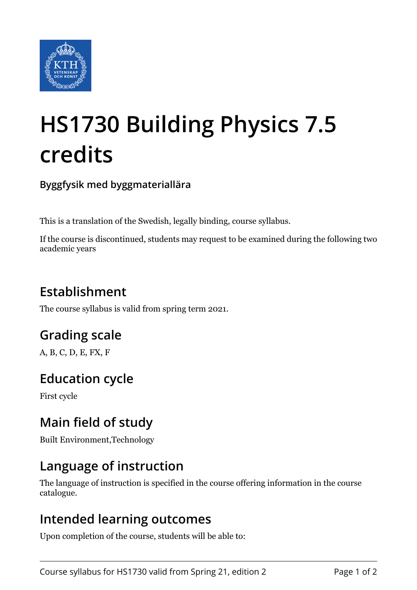

# **HS1730 Building Physics 7.5 credits**

**Byggfysik med byggmateriallära**

This is a translation of the Swedish, legally binding, course syllabus.

If the course is discontinued, students may request to be examined during the following two academic years

# **Establishment**

The course syllabus is valid from spring term 2021.

## **Grading scale**

A, B, C, D, E, FX, F

## **Education cycle**

First cycle

## **Main field of study**

Built Environment,Technology

#### **Language of instruction**

The language of instruction is specified in the course offering information in the course catalogue.

#### **Intended learning outcomes**

Upon completion of the course, students will be able to: